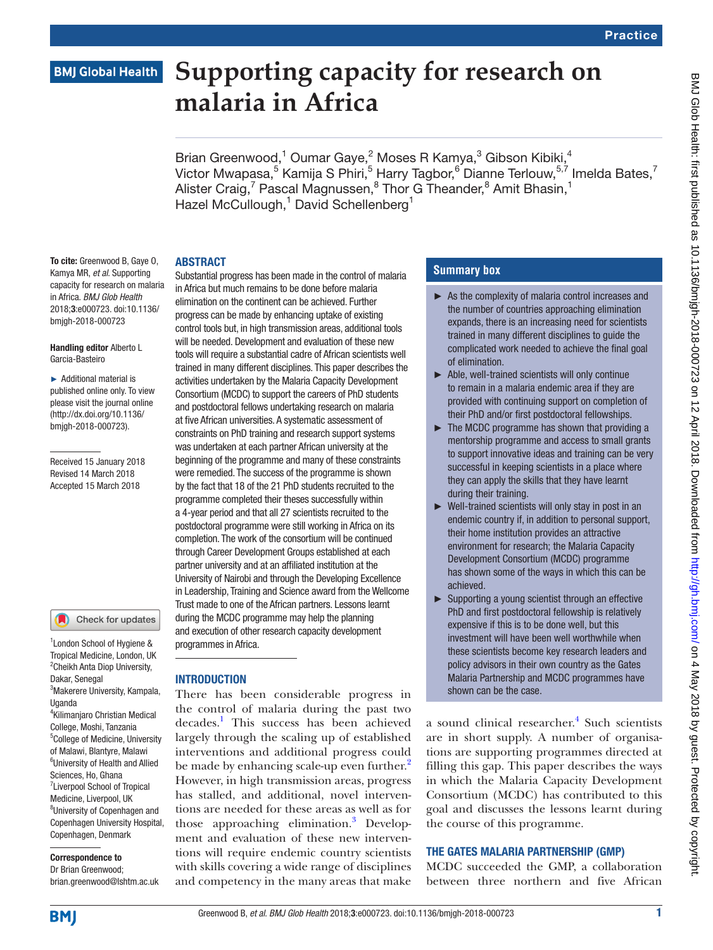# **Supporting capacity for research on malaria in Africa**

Brian Greenwood,<sup>1</sup> Oumar Gaye,<sup>2</sup> Moses R Kamya,<sup>3</sup> Gibson Kibiki,<sup>4</sup> Victor Mwapasa, $^5$  Kamija S Phiri, $^5$  Harry Tagbor, $^6$  Dianne Terlouw, $^{5,7}$  Imelda Bates, $^7$ Alister Craig,<sup>7</sup> Pascal Magnussen,<sup>8</sup> Thor G Theander,<sup>8</sup> Amit Bhasin,<sup>1</sup> Hazel McCullough,<sup>1</sup> David Schellenberg<sup>1</sup>

#### **ABSTRACT**

To cite: Greenwood B, Gaye O, Kamya MR, *et al*. Supporting capacity for research on malaria in Africa. *BMJ Glob Health* 2018;3:e000723. doi:10.1136/ bmjgh-2018-000723

#### Handling editor Alberto L Garcia-Basteiro

► Additional material is published online only. To view please visit the journal online (http://dx.doi.org/10.1136/ bmjgh-2018-000723).

Received 15 January 2018 Revised 14 March 2018 Accepted 15 March 2018

Check for updates

1 London School of Hygiene & Tropical Medicine, London, UK <sup>2</sup> Cheikh Anta Diop University, Dakar, Senegal 3 Makerere University, Kampala, Uganda 4 Kilimanjaro Christian Medical College, Moshi, Tanzania 5 College of Medicine, University of Malawi, Blantyre, Malawi 6 University of Health and Allied Sciences, Ho, Ghana <sup>7</sup> Liverpool School of Tropical Medicine, Liverpool, UK <sup>8</sup>University of Copenhagen and Copenhagen University Hospital, Copenhagen, Denmark

# Correspondence to

Dr Brian Greenwood; brian.greenwood@lshtm.ac.uk Substantial progress has been made in the control of malaria in Africa but much remains to be done before malaria elimination on the continent can be achieved. Further progress can be made by enhancing uptake of existing control tools but, in high transmission areas, additional tools will be needed. Development and evaluation of these new tools will require a substantial cadre of African scientists well trained in many different disciplines. This paper describes the activities undertaken by the Malaria Capacity Development Consortium (MCDC) to support the careers of PhD students and postdoctoral fellows undertaking research on malaria at five African universities. A systematic assessment of constraints on PhD training and research support systems was undertaken at each partner African university at the beginning of the programme and many of these constraints were remedied. The success of the programme is shown by the fact that 18 of the 21 PhD students recruited to the programme completed their theses successfully within a 4-year period and that all 27 scientists recruited to the postdoctoral programme were still working in Africa on its completion. The work of the consortium will be continued through Career Development Groups established at each partner university and at an affiliated institution at the University of Nairobi and through the Developing Excellence in Leadership, Training and Science award from the Wellcome Trust made to one of the African partners. Lessons learnt during the MCDC programme may help the planning and execution of other research capacity development programmes in Africa.

#### **INTRODUCTION**

There has been considerable progress in the control of malaria during the past two decades.[1](#page-5-0) This success has been achieved largely through the scaling up of established interventions and additional progress could be made by enhancing scale-up even further.<sup>[2](#page-5-1)</sup> However, in high transmission areas, progress has stalled, and additional, novel interventions are needed for these areas as well as for those approaching elimination.<sup>3</sup> Development and evaluation of these new interventions will require endemic country scientists with skills covering a wide range of disciplines and competency in the many areas that make

#### **Summary box**

- ► As the complexity of malaria control increases and the number of countries approaching elimination expands, there is an increasing need for scientists trained in many different disciplines to guide the complicated work needed to achieve the final goal of elimination.
- ► Able, well-trained scientists will only continue to remain in a malaria endemic area if they are provided with continuing support on completion of their PhD and/or first postdoctoral fellowships.
- ► The MCDC programme has shown that providing a mentorship programme and access to small grants to support innovative ideas and training can be very successful in keeping scientists in a place where they can apply the skills that they have learnt during their training.
- ► Well-trained scientists will only stay in post in an endemic country if, in addition to personal support, their home institution provides an attractive environment for research; the Malaria Capacity Development Consortium (MCDC) programme has shown some of the ways in which this can be achieved.
- ► Supporting a young scientist through an effective PhD and first postdoctoral fellowship is relatively expensive if this is to be done well, but this investment will have been well worthwhile when these scientists become key research leaders and policy advisors in their own country as the Gates Malaria Partnership and MCDC programmes have shown can be the case.

a sound clinical researcher.<sup>[4](#page-5-3)</sup> Such scientists are in short supply. A number of organisations are supporting programmes directed at filling this gap. This paper describes the ways in which the Malaria Capacity Development Consortium (MCDC) has contributed to this goal and discusses the lessons learnt during the course of this programme.

# The Gates Malaria Partnership (GMP)

MCDC succeeded the GMP, a collaboration between three northern and five African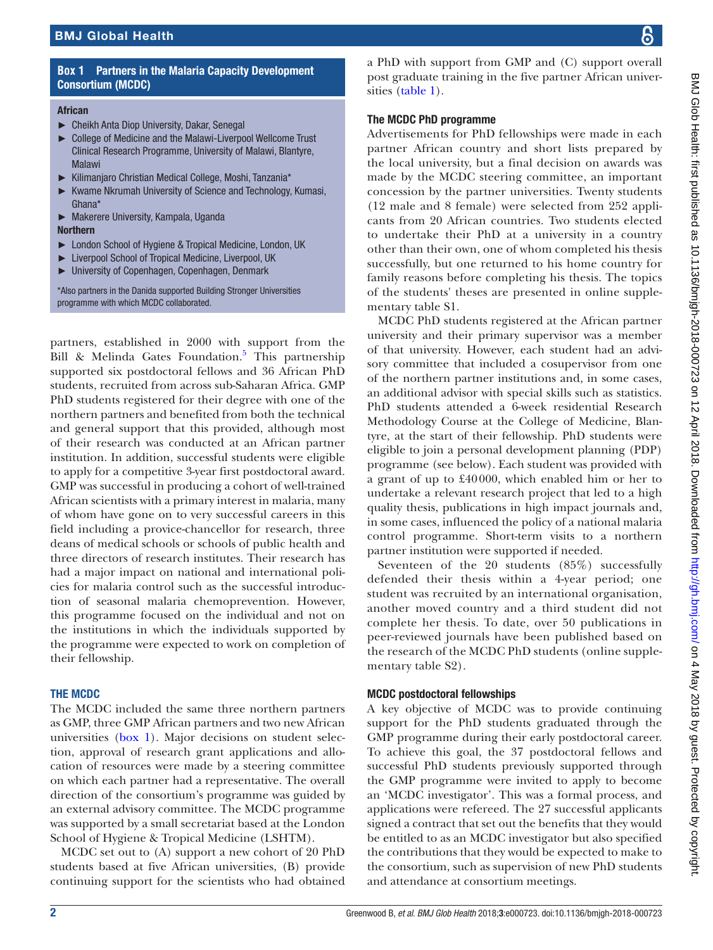# **Box 1** Partners in the Malaria Capacity Development Consortium (MCDC)

#### <span id="page-1-0"></span>African

- ► Cheikh Anta Diop University, Dakar, Senegal
- ► College of Medicine and the Malawi-Liverpool Wellcome Trust Clinical Research Programme, University of Malawi, Blantyre, Malawi
- ► Kilimanjaro Christian Medical College, Moshi, Tanzania\*
- ► Kwame Nkrumah University of Science and Technology, Kumasi, Ghana\*
- ► Makerere University, Kampala, Uganda

#### Northern

- ► London School of Hygiene & Tropical Medicine, London, UK
- ► Liverpool School of Tropical Medicine, Liverpool, UK
- ► University of Copenhagen, Copenhagen, Denmark

\*Also partners in the Danida supported Building Stronger Universities programme with which MCDC collaborated.

partners, established in 2000 with support from the Bill & Melinda Gates Foundation.<sup>[5](#page-5-4)</sup> This partnership supported six postdoctoral fellows and 36 African PhD students, recruited from across sub-Saharan Africa. GMP PhD students registered for their degree with one of the northern partners and benefited from both the technical and general support that this provided, although most of their research was conducted at an African partner institution. In addition, successful students were eligible to apply for a competitive 3-year first postdoctoral award. GMP was successful in producing a cohort of well-trained African scientists with a primary interest in malaria, many of whom have gone on to very successful careers in this field including a provice-chancellor for research, three deans of medical schools or schools of public health and three directors of research institutes. Their research has had a major impact on national and international policies for malaria control such as the successful introduction of seasonal malaria chemoprevention. However, this programme focused on the individual and not on the institutions in which the individuals supported by the programme were expected to work on completion of their fellowship.

#### The MCDC

The MCDC included the same three northern partners as GMP, three GMP African partners and two new African universities ([box](#page-1-0) 1). Major decisions on student selection, approval of research grant applications and allocation of resources were made by a steering committee on which each partner had a representative. The overall direction of the consortium's programme was guided by an external advisory committee. The MCDC programme was supported by a small secretariat based at the London School of Hygiene & Tropical Medicine (LSHTM).

MCDC set out to (A) support a new cohort of 20 PhD students based at five African universities, (B) provide continuing support for the scientists who had obtained

a PhD with support from GMP and (C) support overall post graduate training in the five partner African universities ([table](#page-2-0) 1).

#### The MCDC PhD programme

Advertisements for PhD fellowships were made in each partner African country and short lists prepared by the local university, but a final decision on awards was made by the MCDC steering committee, an important concession by the partner universities. Twenty students (12 male and 8 female) were selected from 252 applicants from 20 African countries. Two students elected to undertake their PhD at a university in a country other than their own, one of whom completed his thesis successfully, but one returned to his home country for family reasons before completing his thesis. The topics of the students' theses are presented in online [supple](https://dx.doi.org/10.1136/bmjgh-2018-000723)[mentary table S1](https://dx.doi.org/10.1136/bmjgh-2018-000723).

MCDC PhD students registered at the African partner university and their primary supervisor was a member of that university. However, each student had an advisory committee that included a cosupervisor from one of the northern partner institutions and, in some cases, an additional advisor with special skills such as statistics. PhD students attended a 6-week residential Research Methodology Course at the College of Medicine, Blantyre, at the start of their fellowship. PhD students were eligible to join a personal development planning (PDP) programme (see below). Each student was provided with a grant of up to £40000, which enabled him or her to undertake a relevant research project that led to a high quality thesis, publications in high impact journals and, in some cases, influenced the policy of a national malaria control programme. Short-term visits to a northern partner institution were supported if needed.

Seventeen of the 20 students (85%) successfully defended their thesis within a 4-year period; one student was recruited by an international organisation, another moved country and a third student did not complete her thesis. To date, over 50 publications in peer-reviewed journals have been published based on the research of the MCDC PhD students (online [supple](https://dx.doi.org/10.1136/bmjgh-2018-000723)[mentary table S2](https://dx.doi.org/10.1136/bmjgh-2018-000723)).

#### MCDC postdoctoral fellowships

A key objective of MCDC was to provide continuing support for the PhD students graduated through the GMP programme during their early postdoctoral career. To achieve this goal, the 37 postdoctoral fellows and successful PhD students previously supported through the GMP programme were invited to apply to become an 'MCDC investigator'. This was a formal process, and applications were refereed. The 27 successful applicants signed a contract that set out the benefits that they would be entitled to as an MCDC investigator but also specified the contributions that they would be expected to make to the consortium, such as supervision of new PhD students and attendance at consortium meetings.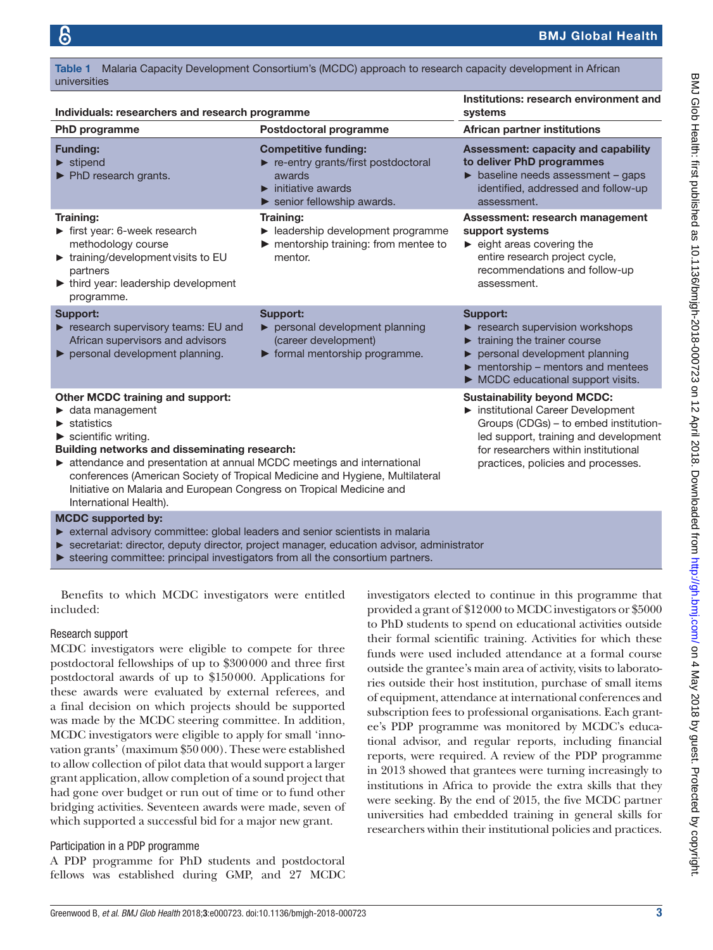<span id="page-2-0"></span>

| Individuals: researchers and research programme                                                                                                                                                                                                                                                                                                                                                                                                                                 |                                                                                                                                                                           | Institutions: research environment and<br>systems                                                                                                                                                                                                                          |
|---------------------------------------------------------------------------------------------------------------------------------------------------------------------------------------------------------------------------------------------------------------------------------------------------------------------------------------------------------------------------------------------------------------------------------------------------------------------------------|---------------------------------------------------------------------------------------------------------------------------------------------------------------------------|----------------------------------------------------------------------------------------------------------------------------------------------------------------------------------------------------------------------------------------------------------------------------|
| <b>PhD</b> programme                                                                                                                                                                                                                                                                                                                                                                                                                                                            | Postdoctoral programme                                                                                                                                                    | <b>African partner institutions</b>                                                                                                                                                                                                                                        |
| <b>Funding:</b><br>$\blacktriangleright$ stipend<br>$\blacktriangleright$ PhD research grants.                                                                                                                                                                                                                                                                                                                                                                                  | <b>Competitive funding:</b><br>re-entry grants/first postdoctoral<br>awards<br>$\blacktriangleright$ initiative awards<br>$\blacktriangleright$ senior fellowship awards. | <b>Assessment: capacity and capability</b><br>to deliver PhD programmes<br>$\triangleright$ baseline needs assessment - gaps<br>identified, addressed and follow-up<br>assessment.                                                                                         |
| Training:<br>$\triangleright$ first year: 6-week research<br>methodology course<br>$\triangleright$ training/development visits to EU<br>partners<br>$\blacktriangleright$ third year: leadership development<br>programme.                                                                                                                                                                                                                                                     | Training:<br>leadership development programme<br>$\blacktriangleright$ mentorship training: from mentee to<br>mentor.                                                     | Assessment: research management<br>support systems<br>$\blacktriangleright$ eight areas covering the<br>entire research project cycle,<br>recommendations and follow-up<br>assessment.                                                                                     |
| Support:<br>research supervisory teams: EU and<br>African supervisors and advisors<br>personal development planning.                                                                                                                                                                                                                                                                                                                                                            | <b>Support:</b><br>personal development planning<br>(career development)<br>$\triangleright$ formal mentorship programme.                                                 | Support:<br>$\blacktriangleright$ research supervision workshops<br>$\blacktriangleright$ training the trainer course<br>personal development planning<br>▶<br>$\triangleright$ mentorship – mentors and mentees<br>$\blacktriangleright$ MCDC educational support visits. |
| <b>Other MCDC training and support:</b><br>$\blacktriangleright$ data management<br>$\blacktriangleright$ statistics<br>$\blacktriangleright$ scientific writing.<br>Building networks and disseminating research:<br>• attendance and presentation at annual MCDC meetings and international<br>conferences (American Society of Tropical Medicine and Hygiene, Multilateral<br>Initiative on Malaria and European Congress on Tropical Medicine and<br>International Health). |                                                                                                                                                                           | <b>Sustainability beyond MCDC:</b><br>institutional Career Development<br>Groups (CDGs) - to embed institution-<br>led support, training and development<br>for researchers within institutional<br>practices, policies and processes.                                     |
| <b>MCDC</b> supported by:<br>▶ external advisory committee: global leaders and senior scientists in malaria                                                                                                                                                                                                                                                                                                                                                                     |                                                                                                                                                                           |                                                                                                                                                                                                                                                                            |

nt Cappactium's (MCDC) approa

- secretariat: director, deputy director, project manager, education advisor, administrator
- 
- steering committee: principal investigators from all the consortium partners.

Benefits to which MCDC investigators were entitled included:

#### Research support

MCDC investigators were eligible to compete for three postdoctoral fellowships of up to \$300000 and three first postdoctoral awards of up to \$150000. Applications for these awards were evaluated by external referees, and a final decision on which projects should be supported was made by the MCDC steering committee. In addition, MCDC investigators were eligible to apply for small 'innovation grants' (maximum \$50 000). These were established to allow collection of pilot data that would support a larger grant application, allow completion of a sound project that had gone over budget or run out of time or to fund other bridging activities. Seventeen awards were made, seven of which supported a successful bid for a major new grant.

#### Participation in a PDP programme

A PDP programme for PhD students and postdoctoral fellows was established during GMP, and 27 MCDC investigators elected to continue in this programme that provided a grant of \$12000 to MCDC investigators or \$5000 to PhD students to spend on educational activities outside their formal scientific training. Activities for which these funds were used included attendance at a formal course outside the grantee's main area of activity, visits to laboratories outside their host institution, purchase of small items of equipment, attendance at international conferences and subscription fees to professional organisations. Each grantee's PDP programme was monitored by MCDC's educational advisor, and regular reports, including financial reports, were required. A review of the PDP programme in 2013 showed that grantees were turning increasingly to institutions in Africa to provide the extra skills that they were seeking. By the end of 2015, the five MCDC partner universities had embedded training in general skills for researchers within their institutional policies and practices.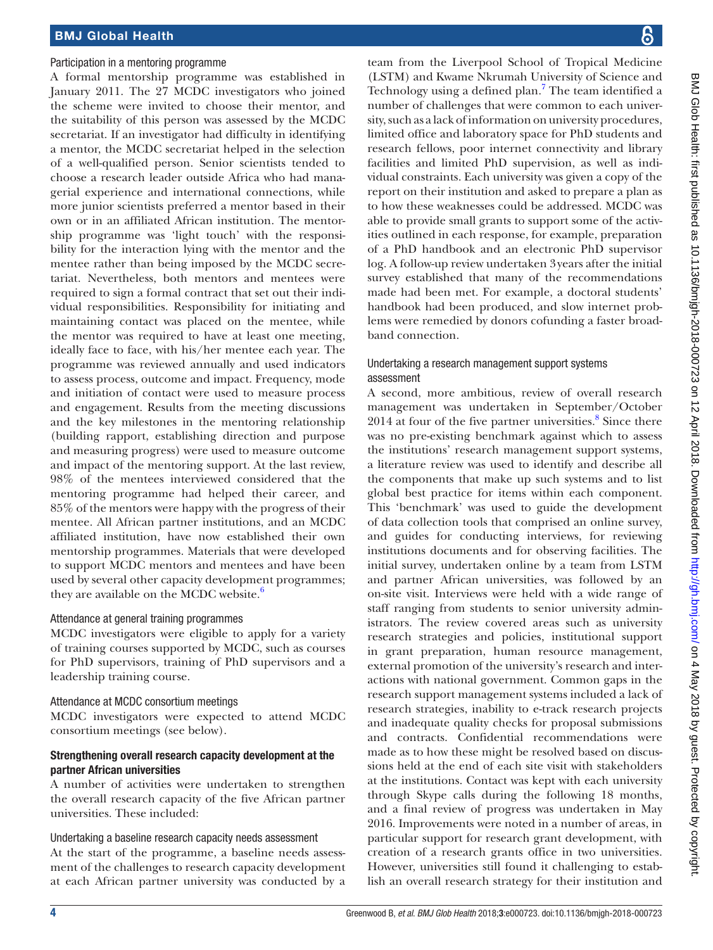#### Participation in a mentoring programme

A formal mentorship programme was established in January 2011. The 27 MCDC investigators who joined the scheme were invited to choose their mentor, and the suitability of this person was assessed by the MCDC secretariat. If an investigator had difficulty in identifying a mentor, the MCDC secretariat helped in the selection of a well-qualified person. Senior scientists tended to choose a research leader outside Africa who had managerial experience and international connections, while more junior scientists preferred a mentor based in their own or in an affiliated African institution. The mentorship programme was 'light touch' with the responsibility for the interaction lying with the mentor and the mentee rather than being imposed by the MCDC secretariat. Nevertheless, both mentors and mentees were required to sign a formal contract that set out their individual responsibilities. Responsibility for initiating and maintaining contact was placed on the mentee, while the mentor was required to have at least one meeting, ideally face to face, with his/her mentee each year. The programme was reviewed annually and used indicators to assess process, outcome and impact. Frequency, mode and initiation of contact were used to measure process and engagement. Results from the meeting discussions and the key milestones in the mentoring relationship (building rapport, establishing direction and purpose and measuring progress) were used to measure outcome and impact of the mentoring support. At the last review, 98% of the mentees interviewed considered that the mentoring programme had helped their career, and 85% of the mentors were happy with the progress of their mentee. All African partner institutions, and an MCDC affiliated institution, have now established their own mentorship programmes. Materials that were developed to support MCDC mentors and mentees and have been used by several other capacity development programmes; they are available on the MCDC website.<sup>6</sup>

#### Attendance at general training programmes

MCDC investigators were eligible to apply for a variety of training courses supported by MCDC, such as courses for PhD supervisors, training of PhD supervisors and a leadership training course.

#### Attendance at MCDC consortium meetings

MCDC investigators were expected to attend MCDC consortium meetings (see below).

#### Strengthening overall research capacity development at the partner African universities

A number of activities were undertaken to strengthen the overall research capacity of the five African partner universities. These included:

#### Undertaking a baseline research capacity needs assessment

At the start of the programme, a baseline needs assessment of the challenges to research capacity development at each African partner university was conducted by a

team from the Liverpool School of Tropical Medicine (LSTM) and Kwame Nkrumah University of Science and Technology using a defined plan.<sup>[7](#page-6-0)</sup> The team identified a number of challenges that were common to each university, such as a lack of information on university procedures, limited office and laboratory space for PhD students and research fellows, poor internet connectivity and library facilities and limited PhD supervision, as well as individual constraints. Each university was given a copy of the report on their institution and asked to prepare a plan as to how these weaknesses could be addressed. MCDC was able to provide small grants to support some of the activities outlined in each response, for example, preparation of a PhD handbook and an electronic PhD supervisor log. A follow-up review undertaken 3years after the initial survey established that many of the recommendations made had been met. For example, a doctoral students' handbook had been produced, and slow internet problems were remedied by donors cofunding a faster broadband connection.

### Undertaking a research management support systems assessment

A second, more ambitious, review of overall research management was undertaken in September/October 2014 at four of the five partner universities.<sup>8</sup> Since there was no pre-existing benchmark against which to assess the institutions' research management support systems, a literature review was used to identify and describe all the components that make up such systems and to list global best practice for items within each component. This 'benchmark' was used to guide the development of data collection tools that comprised an online survey, and guides for conducting interviews, for reviewing institutions documents and for observing facilities. The initial survey, undertaken online by a team from LSTM and partner African universities, was followed by an on-site visit. Interviews were held with a wide range of staff ranging from students to senior university administrators. The review covered areas such as university research strategies and policies, institutional support in grant preparation, human resource management, external promotion of the university's research and interactions with national government. Common gaps in the research support management systems included a lack of research strategies, inability to e-track research projects and inadequate quality checks for proposal submissions and contracts. Confidential recommendations were made as to how these might be resolved based on discussions held at the end of each site visit with stakeholders at the institutions. Contact was kept with each university through Skype calls during the following 18 months, and a final review of progress was undertaken in May 2016. Improvements were noted in a number of areas, in particular support for research grant development, with creation of a research grants office in two universities. However, universities still found it challenging to establish an overall research strategy for their institution and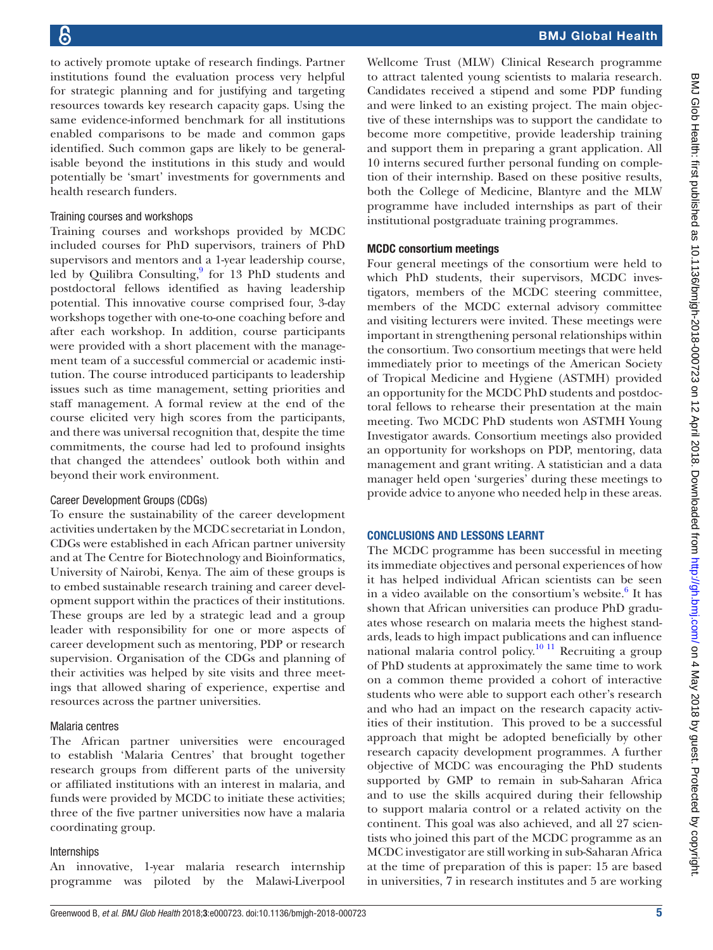to actively promote uptake of research findings. Partner institutions found the evaluation process very helpful for strategic planning and for justifying and targeting resources towards key research capacity gaps. Using the same evidence-informed benchmark for all institutions enabled comparisons to be made and common gaps identified. Such common gaps are likely to be generalisable beyond the institutions in this study and would potentially be 'smart' investments for governments and health research funders.

# Training courses and workshops

Training courses and workshops provided by MCDC included courses for PhD supervisors, trainers of PhD supervisors and mentors and a 1-year leadership course, led by Quilibra Consulting,<sup>9</sup> for 13 PhD students and postdoctoral fellows identified as having leadership potential. This innovative course comprised four, 3-day workshops together with one-to-one coaching before and after each workshop. In addition, course participants were provided with a short placement with the management team of a successful commercial or academic institution. The course introduced participants to leadership issues such as time management, setting priorities and staff management. A formal review at the end of the course elicited very high scores from the participants, and there was universal recognition that, despite the time commitments, the course had led to profound insights that changed the attendees' outlook both within and beyond their work environment.

# Career Development Groups (CDGs)

To ensure the sustainability of the career development activities undertaken by the MCDC secretariat in London, CDGs were established in each African partner university and at The Centre for Biotechnology and Bioinformatics, University of Nairobi, Kenya. The aim of these groups is to embed sustainable research training and career development support within the practices of their institutions. These groups are led by a strategic lead and a group leader with responsibility for one or more aspects of career development such as mentoring, PDP or research supervision. Organisation of the CDGs and planning of their activities was helped by site visits and three meetings that allowed sharing of experience, expertise and resources across the partner universities.

# Malaria centres

The African partner universities were encouraged to establish 'Malaria Centres' that brought together research groups from different parts of the university or affiliated institutions with an interest in malaria, and funds were provided by MCDC to initiate these activities; three of the five partner universities now have a malaria coordinating group.

# **Internships**

An innovative, 1-year malaria research internship programme was piloted by the Malawi-Liverpool Wellcome Trust (MLW) Clinical Research programme to attract talented young scientists to malaria research. Candidates received a stipend and some PDP funding and were linked to an existing project. The main objective of these internships was to support the candidate to become more competitive, provide leadership training and support them in preparing a grant application. All 10 interns secured further personal funding on completion of their internship. Based on these positive results, both the College of Medicine, Blantyre and the MLW programme have included internships as part of their institutional postgraduate training programmes.

# MCDC consortium meetings

Four general meetings of the consortium were held to which PhD students, their supervisors, MCDC investigators, members of the MCDC steering committee, members of the MCDC external advisory committee and visiting lecturers were invited. These meetings were important in strengthening personal relationships within the consortium. Two consortium meetings that were held immediately prior to meetings of the American Society of Tropical Medicine and Hygiene (ASTMH) provided an opportunity for the MCDC PhD students and postdoctoral fellows to rehearse their presentation at the main meeting. Two MCDC PhD students won ASTMH Young Investigator awards. Consortium meetings also provided an opportunity for workshops on PDP, mentoring, data management and grant writing. A statistician and a data manager held open 'surgeries' during these meetings to provide advice to anyone who needed help in these areas.

# Conclusions and lessons learnt

The MCDC programme has been successful in meeting its immediate objectives and personal experiences of how it has helped individual African scientists can be seen in a video available on the consortium's website. $6$  It has shown that African universities can produce PhD graduates whose research on malaria meets the highest standards, leads to high impact publications and can influence national malaria control policy.<sup>10 11</sup> Recruiting a group of PhD students at approximately the same time to work on a common theme provided a cohort of interactive students who were able to support each other's research and who had an impact on the research capacity activities of their institution. This proved to be a successful approach that might be adopted beneficially by other research capacity development programmes. A further objective of MCDC was encouraging the PhD students supported by GMP to remain in sub-Saharan Africa and to use the skills acquired during their fellowship to support malaria control or a related activity on the continent. This goal was also achieved, and all 27 scientists who joined this part of the MCDC programme as an MCDC investigator are still working in sub-Saharan Africa at the time of preparation of this is paper: 15 are based in universities, 7 in research institutes and 5 are working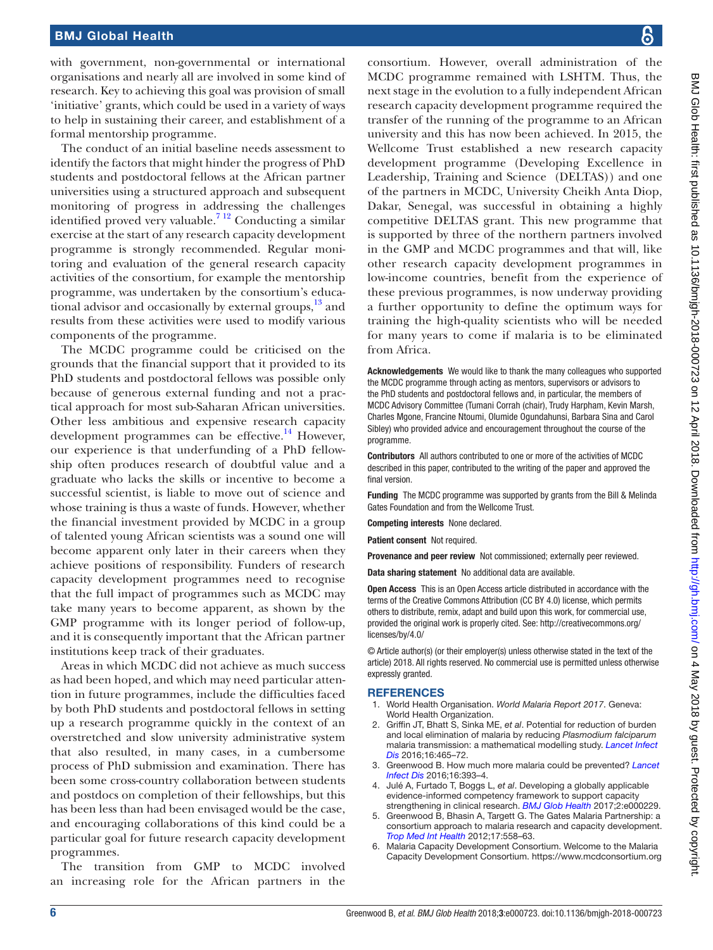with government, non-governmental or international organisations and nearly all are involved in some kind of research. Key to achieving this goal was provision of small 'initiative' grants, which could be used in a variety of ways to help in sustaining their career, and establishment of a formal mentorship programme.

The conduct of an initial baseline needs assessment to identify the factors that might hinder the progress of PhD students and postdoctoral fellows at the African partner universities using a structured approach and subsequent monitoring of progress in addressing the challenges identified proved very valuable.<sup>7 12</sup> Conducting a similar exercise at the start of any research capacity development programme is strongly recommended. Regular monitoring and evaluation of the general research capacity activities of the consortium, for example the mentorship programme, was undertaken by the consortium's educa-tional advisor and occasionally by external groups,<sup>[13](#page-6-4)</sup> and results from these activities were used to modify various components of the programme.

The MCDC programme could be criticised on the grounds that the financial support that it provided to its PhD students and postdoctoral fellows was possible only because of generous external funding and not a practical approach for most sub-Saharan African universities. Other less ambitious and expensive research capacity development programmes can be effective.<sup>14</sup> However, our experience is that underfunding of a PhD fellowship often produces research of doubtful value and a graduate who lacks the skills or incentive to become a successful scientist, is liable to move out of science and whose training is thus a waste of funds. However, whether the financial investment provided by MCDC in a group of talented young African scientists was a sound one will become apparent only later in their careers when they achieve positions of responsibility. Funders of research capacity development programmes need to recognise that the full impact of programmes such as MCDC may take many years to become apparent, as shown by the GMP programme with its longer period of follow-up, and it is consequently important that the African partner institutions keep track of their graduates.

Areas in which MCDC did not achieve as much success as had been hoped, and which may need particular attention in future programmes, include the difficulties faced by both PhD students and postdoctoral fellows in setting up a research programme quickly in the context of an overstretched and slow university administrative system that also resulted, in many cases, in a cumbersome process of PhD submission and examination. There has been some cross-country collaboration between students and postdocs on completion of their fellowships, but this has been less than had been envisaged would be the case, and encouraging collaborations of this kind could be a particular goal for future research capacity development programmes.

The transition from GMP to MCDC involved an increasing role for the African partners in the

consortium. However, overall administration of the MCDC programme remained with LSHTM. Thus, the next stage in the evolution to a fully independent African research capacity development programme required the transfer of the running of the programme to an African university and this has now been achieved. In 2015, the Wellcome Trust established a new research capacity development programme (Developing Excellence in Leadership, Training and Science (DELTAS)) and one of the partners in MCDC, University Cheikh Anta Diop, Dakar, Senegal, was successful in obtaining a highly competitive DELTAS grant. This new programme that is supported by three of the northern partners involved in the GMP and MCDC programmes and that will, like other research capacity development programmes in low-income countries, benefit from the experience of these previous programmes, is now underway providing a further opportunity to define the optimum ways for training the high-quality scientists who will be needed for many years to come if malaria is to be eliminated from Africa.

Acknowledgements We would like to thank the many colleagues who supported the MCDC programme through acting as mentors, supervisors or advisors to the PhD students and postdoctoral fellows and, in particular, the members of MCDC Advisory Committee (Tumani Corrah (chair), Trudy Harpham, Kevin Marsh, Charles Mgone, Francine Ntoumi, Olumide Ogundahunsi, Barbara Sina and Carol Sibley) who provided advice and encouragement throughout the course of the programme.

Contributors All authors contributed to one or more of the activities of MCDC described in this paper, contributed to the writing of the paper and approved the final version.

Funding The MCDC programme was supported by grants from the Bill & Melinda Gates Foundation and from the Wellcome Trust.

Competing interests None declared.

Patient consent Not required.

Provenance and peer review Not commissioned; externally peer reviewed.

Data sharing statement No additional data are available.

Open Access This is an Open Access article distributed in accordance with the terms of the Creative Commons Attribution (CC BY 4.0) license, which permits others to distribute, remix, adapt and build upon this work, for commercial use, provided the original work is properly cited. See: [http://creativecommons.org/](http://creativecommons.org/licenses/by/4.0/) [licenses/by/4.0/](http://creativecommons.org/licenses/by/4.0/)

© Article author(s) (or their employer(s) unless otherwise stated in the text of the article) 2018. All rights reserved. No commercial use is permitted unless otherwise expressly granted.

#### **REFERENCES**

- <span id="page-5-0"></span>1. World Health Organisation. *World Malaria Report 2017*. Geneva: World Health Organization.
- <span id="page-5-1"></span>2. Griffin JT, Bhatt S, Sinka ME, *et al*. Potential for reduction of burden and local elimination of malaria by reducing *Plasmodium falciparum* malaria transmission: a mathematical modelling study. *[Lancet Infect](http://dx.doi.org/10.1016/S1473-3099(15)00423-5)  [Dis](http://dx.doi.org/10.1016/S1473-3099(15)00423-5)* 2016;16:465–72.
- <span id="page-5-2"></span>3. Greenwood B. How much more malaria could be prevented? *[Lancet](http://dx.doi.org/10.1016/S1473-3099(15)00482-X)  [Infect Dis](http://dx.doi.org/10.1016/S1473-3099(15)00482-X)* 2016;16:393–4.
- <span id="page-5-3"></span>4. Julé A, Furtado T, Boggs L, *et al*. Developing a globally applicable evidence-informed competency framework to support capacity strengthening in clinical research. *[BMJ Glob Health](http://dx.doi.org/10.1136/bmjgh-2016-000229)* 2017;2:e000229.
- <span id="page-5-4"></span>5. Greenwood B, Bhasin A, Targett G. The Gates Malaria Partnership: a consortium approach to malaria research and capacity development. *[Trop Med Int Health](http://dx.doi.org/10.1111/j.1365-3156.2012.02970.x)* 2012;17:558–63.
- <span id="page-5-5"></span>6. Malaria Capacity Development Consortium. Welcome to the Malaria Capacity Development Consortium. <https://www.mcdconsortium.org>